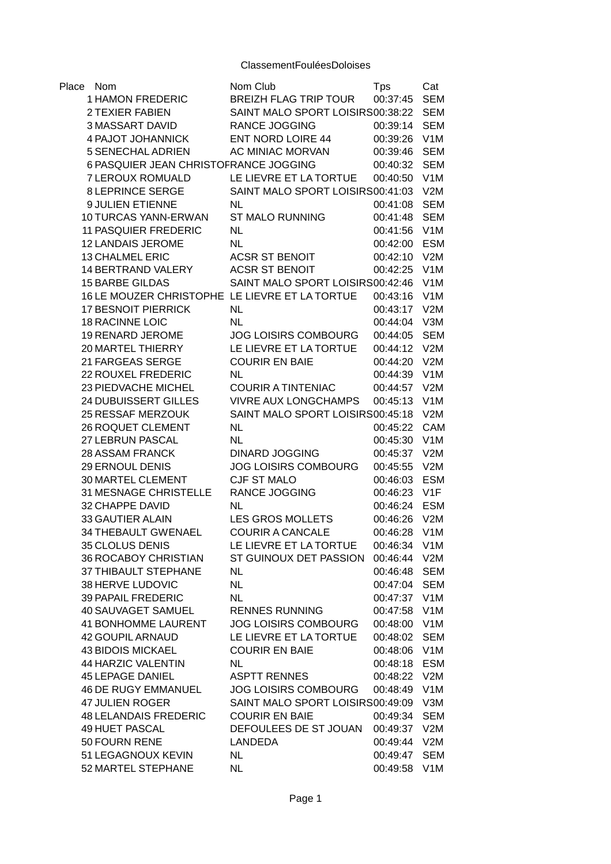| Place | Nom                                            | Nom Club                             | <b>Tps</b>               | Cat        |
|-------|------------------------------------------------|--------------------------------------|--------------------------|------------|
|       | <b>1 HAMON FREDERIC</b>                        | <b>BREIZH FLAG TRIP TOUR</b>         | 00:37:45                 | <b>SEM</b> |
|       | <b>2 TEXIER FABIEN</b>                         | SAINT MALO SPORT LOISIRS00:38:22     |                          | <b>SEM</b> |
|       | <b>3 MASSART DAVID</b>                         | <b>RANCE JOGGING</b>                 | 00:39:14 SEM             |            |
|       | 4 PAJOT JOHANNICK                              | <b>ENT NORD LOIRE 44</b>             | 00:39:26 V1M             |            |
|       | 5 SENECHAL ADRIEN                              | AC MINIAC MORVAN                     | 00:39:46                 | <b>SEM</b> |
|       | 6 PASQUIER JEAN CHRISTOFRANCE JOGGING          |                                      | 00:40:32                 | <b>SEM</b> |
|       | 7 LEROUX ROMUALD                               | LE LIEVRE ET LA TORTUE               | 00:40:50 V1M             |            |
|       | 8 LEPRINCE SERGE                               | SAINT MALO SPORT LOISIRS00:41:03 V2M |                          |            |
|       | 9 JULIEN ETIENNE                               | <b>NL</b>                            | 00:41:08                 | <b>SEM</b> |
|       | 10 TURCAS YANN-ERWAN                           | <b>ST MALO RUNNING</b>               | 00:41:48                 | <b>SEM</b> |
|       | 11 PASQUIER FREDERIC                           | <b>NL</b>                            | 00:41:56                 | V1M        |
|       | 12 LANDAIS JEROME                              | <b>NL</b>                            | 00:42:00                 | <b>ESM</b> |
|       | 13 CHALMEL ERIC                                | <b>ACSR ST BENOIT</b>                | 00:42:10 V2M             |            |
|       | 14 BERTRAND VALERY                             | <b>ACSR ST BENOIT</b>                | 00:42:25 V1M             |            |
|       | <b>15 BARBE GILDAS</b>                         | SAINT MALO SPORT LOISIRS00:42:46     |                          | V1M        |
|       | 16 LE MOUZER CHRISTOPHE LE LIEVRE ET LA TORTUE |                                      | 00:43:16 V1M             |            |
|       | <b>17 BESNOIT PIERRICK</b>                     | NL.                                  | 00:43:17 V2M             |            |
|       | <b>18 RACINNE LOIC</b>                         | <b>NL</b>                            | 00:44:04 V3M             |            |
|       | 19 RENARD JEROME                               | <b>JOG LOISIRS COMBOURG</b>          | 00:44:05 SEM             |            |
|       | 20 MARTEL THIERRY                              | LE LIEVRE ET LA TORTUE               | 00:44:12 V2M             |            |
|       | 21 FARGEAS SERGE                               | <b>COURIR EN BAIE</b>                | 00:44:20 V2M             |            |
|       | 22 ROUXEL FREDERIC                             | <b>NL</b>                            | 00:44:39 V1M             |            |
|       | 23 PIEDVACHE MICHEL                            | <b>COURIR A TINTENIAC</b>            | 00:44:57 V2M             |            |
|       | <b>24 DUBUISSERT GILLES</b>                    | <b>VIVRE AUX LONGCHAMPS</b>          | 00:45:13 V1M             |            |
|       | 25 RESSAF MERZOUK                              | SAINT MALO SPORT LOISIRS00:45:18     |                          | V2M        |
|       | 26 ROQUET CLEMENT                              | <b>NL</b>                            | 00:45:22                 | CAM        |
|       | 27 LEBRUN PASCAL                               | <b>NL</b>                            | 00:45:30                 | V1M        |
|       | <b>28 ASSAM FRANCK</b>                         | <b>DINARD JOGGING</b>                | 00:45:37 V2M             |            |
|       | 29 ERNOUL DENIS                                | <b>JOG LOISIRS COMBOURG</b>          | 00:45:55 V2M             |            |
|       | 30 MARTEL CLEMENT                              | CJF ST MALO                          | 00:46:03                 | <b>ESM</b> |
|       | 31 MESNAGE CHRISTELLE                          | RANCE JOGGING                        | 00:46:23 V1F             |            |
|       | 32 CHAPPE DAVID                                | <b>NL</b>                            | 00:46:24 ESM             |            |
|       | 33 GAUTIER ALAIN                               | LES GROS MOLLETS                     | 00:46:26 V2M             |            |
|       | 34 THEBAULT GWENAEL                            | <b>COURIR A CANCALE</b>              | 00:46:28 V1M             |            |
|       | 35 CLOLUS DENIS                                | LE LIEVRE ET LA TORTUE               | 00:46:34                 | V1M        |
|       | 36 ROCABOY CHRISTIAN                           | ST GUINOUX DET PASSION               | 00:46:44 V2M             |            |
|       | 37 THIBAULT STEPHANE                           | <b>NL</b>                            | 00:46:48                 | <b>SEM</b> |
|       | 38 HERVE LUDOVIC                               | <b>NL</b>                            | 00:47:04                 | <b>SEM</b> |
|       | <b>39 PAPAIL FREDERIC</b>                      | <b>NL</b>                            | 00:47:37                 | V1M        |
|       | 40 SAUVAGET SAMUEL                             | <b>RENNES RUNNING</b>                | 00:47:58                 | V1M        |
|       | <b>41 BONHOMME LAURENT</b>                     | JOG LOISIRS COMBOURG                 | 00:48:00                 | V1M        |
|       |                                                |                                      |                          | <b>SEM</b> |
|       | 42 GOUPIL ARNAUD<br><b>43 BIDOIS MICKAEL</b>   | LE LIEVRE ET LA TORTUE               | 00:48:02<br>00:48:06 V1M |            |
|       |                                                | <b>COURIR EN BAIE</b>                |                          |            |
|       | 44 HARZIC VALENTIN                             | NL                                   | 00:48:18 ESM             |            |
|       | <b>45 LEPAGE DANIEL</b>                        | <b>ASPTT RENNES</b>                  | 00:48:22 V2M             |            |
|       | <b>46 DE RUGY EMMANUEL</b>                     | <b>JOG LOISIRS COMBOURG</b>          | 00:48:49                 | V1M        |
|       | <b>47 JULIEN ROGER</b>                         | SAINT MALO SPORT LOISIRS00:49:09     |                          | V3M        |
|       | <b>48 LELANDAIS FREDERIC</b>                   | <b>COURIR EN BAIE</b>                | 00:49:34                 | <b>SEM</b> |
|       | <b>49 HUET PASCAL</b>                          | DEFOULEES DE ST JOUAN                | 00:49:37                 | V2M        |
|       | 50 FOURN RENE                                  | LANDEDA                              | 00:49:44                 | V2M        |
|       | 51 LEGAGNOUX KEVIN                             | <b>NL</b>                            | 00:49:47                 | <b>SEM</b> |
|       | 52 MARTEL STEPHANE                             | NL                                   | 00:49:58 V1M             |            |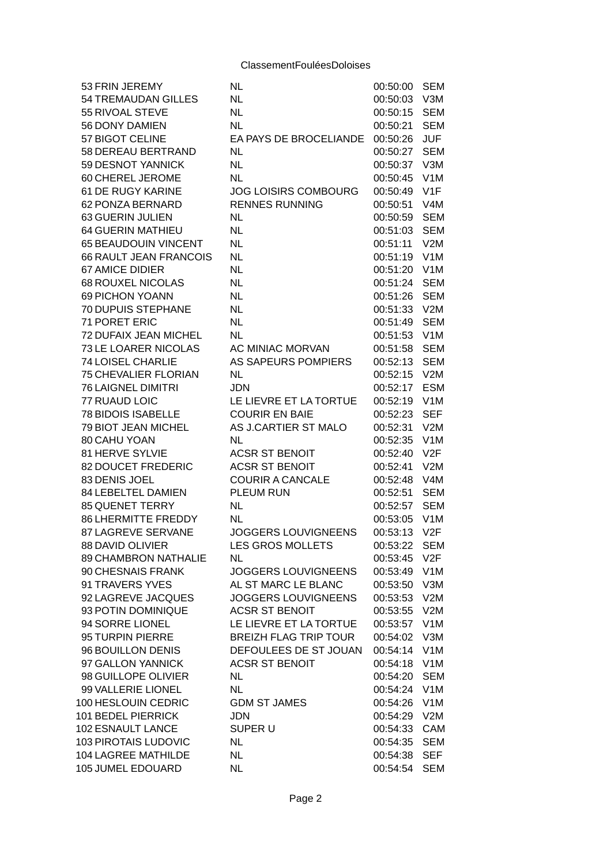| 53 FRIN JEREMY                        | <b>NL</b>                    | 00:50:00             | <b>SEM</b>       |
|---------------------------------------|------------------------------|----------------------|------------------|
| <b>54 TREMAUDAN GILLES</b>            | <b>NL</b>                    | 00:50:03             | V3M              |
| 55 RIVOAL STEVE                       | <b>NL</b>                    | 00:50:15             | <b>SEM</b>       |
| 56 DONY DAMIEN                        | <b>NL</b>                    | 00:50:21             | <b>SEM</b>       |
| 57 BIGOT CELINE                       | EA PAYS DE BROCELIANDE       | 00:50:26             | <b>JUF</b>       |
| 58 DEREAU BERTRAND                    | <b>NL</b>                    | 00:50:27             | <b>SEM</b>       |
| 59 DESNOT YANNICK                     | <b>NL</b>                    | 00:50:37             | V3M              |
| 60 CHEREL JEROME                      | <b>NL</b>                    | 00:50:45             | V1M              |
| 61 DE RUGY KARINE                     | <b>JOG LOISIRS COMBOURG</b>  | 00:50:49             | V1F              |
| 62 PONZA BERNARD                      | <b>RENNES RUNNING</b>        | 00:50:51             | V <sub>4</sub> M |
| 63 GUERIN JULIEN                      | <b>NL</b>                    | 00:50:59             | <b>SEM</b>       |
| <b>64 GUERIN MATHIEU</b>              | <b>NL</b>                    | 00:51:03             | <b>SEM</b>       |
| 65 BEAUDOUIN VINCENT                  | <b>NL</b>                    | 00:51:11             | V2M              |
| <b>66 RAULT JEAN FRANCOIS</b>         | <b>NL</b>                    | 00:51:19             | V1M              |
| <b>67 AMICE DIDIER</b>                | <b>NL</b>                    | 00:51:20             | V1M              |
| <b>68 ROUXEL NICOLAS</b>              | <b>NL</b>                    | 00:51:24             | <b>SEM</b>       |
| <b>69 PICHON YOANN</b>                | <b>NL</b>                    | 00:51:26             | <b>SEM</b>       |
| <b>70 DUPUIS STEPHANE</b>             | <b>NL</b>                    | 00:51:33             | V2M              |
| 71 PORET ERIC                         | <b>NL</b>                    | 00:51:49             | <b>SEM</b>       |
| <b>72 DUFAIX JEAN MICHEL</b>          | <b>NL</b>                    | 00:51:53             | V1M              |
| 73 LE LOARER NICOLAS                  | AC MINIAC MORVAN             | 00:51:58             | <b>SEM</b>       |
|                                       |                              |                      |                  |
| <b>74 LOISEL CHARLIE</b>              | AS SAPEURS POMPIERS          | 00:52:13             | <b>SEM</b>       |
| 75 CHEVALIER FLORIAN                  | <b>NL</b>                    | 00:52:15             | V2M              |
| <b>76 LAIGNEL DIMITRI</b>             | <b>JDN</b>                   | 00:52:17             | <b>ESM</b>       |
| 77 RUAUD LOIC                         | LE LIEVRE ET LA TORTUE       | 00:52:19             | V1M              |
| <b>78 BIDOIS ISABELLE</b>             | <b>COURIR EN BAIE</b>        | 00:52:23             | <b>SEF</b>       |
| 79 BIOT JEAN MICHEL                   | AS J.CARTIER ST MALO         | 00:52:31             | V2M              |
| 80 CAHU YOAN                          | NL                           | 00:52:35             | V1M              |
| 81 HERVE SYLVIE<br>82 DOUCET FREDERIC | <b>ACSR ST BENOIT</b>        | 00:52:40             | V2F<br>V2M       |
|                                       | <b>ACSR ST BENOIT</b>        | 00:52:41<br>00:52:48 | V4M              |
| 83 DENIS JOEL<br>84 LEBELTEL DAMIEN   | <b>COURIR A CANCALE</b>      |                      | <b>SEM</b>       |
|                                       | PLEUM RUN                    | 00:52:51             |                  |
| 85 QUENET TERRY                       | <b>NL</b>                    | 00:52:57             | <b>SEM</b>       |
| <b>86 LHERMITTE FREDDY</b>            | <b>NL</b>                    | 00:53:05             | V1M              |
| 87 LAGREVE SERVANE                    | JOGGERS LOUVIGNEENS          | 00:53:13             | V2F              |
| 88 DAVID OLIVIER                      | <b>LES GROS MOLLETS</b>      | 00:53:22             | <b>SEM</b>       |
| 89 CHAMBRON NATHALIE                  | <b>NL</b>                    | 00:53:45             | V2F              |
| 90 CHESNAIS FRANK                     | JOGGERS LOUVIGNEENS          | 00:53:49             | V1M              |
| 91 TRAVERS YVES                       | AL ST MARC LE BLANC          | 00:53:50             | V3M              |
| 92 LAGREVE JACQUES                    | <b>JOGGERS LOUVIGNEENS</b>   | 00:53:53             | V2M              |
| 93 POTIN DOMINIQUE                    | <b>ACSR ST BENOIT</b>        | 00:53:55             | V2M              |
| 94 SORRE LIONEL                       | LE LIEVRE ET LA TORTUE       | 00:53:57             | V1M              |
| 95 TURPIN PIERRE                      | <b>BREIZH FLAG TRIP TOUR</b> | 00:54:02             | V3M              |
| 96 BOUILLON DENIS                     | DEFOULEES DE ST JOUAN        | 00:54:14             | V1M              |
| 97 GALLON YANNICK                     | <b>ACSR ST BENOIT</b>        | 00:54:18             | V1M              |
| 98 GUILLOPE OLIVIER                   | NL.                          | 00:54:20             | <b>SEM</b>       |
| 99 VALLERIE LIONEL                    | <b>NL</b>                    | 00:54:24             | V1M              |
| 100 HESLOUIN CEDRIC                   | <b>GDM ST JAMES</b>          | 00:54:26             | V1M              |
| 101 BEDEL PIERRICK                    | <b>JDN</b>                   | 00:54:29             | V2M              |
| <b>102 ESNAULT LANCE</b>              | SUPER U                      | 00:54:33             | CAM              |
| <b>103 PIROTAIS LUDOVIC</b>           | NL.                          | 00:54:35             | <b>SEM</b>       |
| <b>104 LAGREE MATHILDE</b>            | NL                           | 00:54:38             | <b>SEF</b>       |
| <b>105 JUMEL EDOUARD</b>              | <b>NL</b>                    | 00:54:54             | <b>SEM</b>       |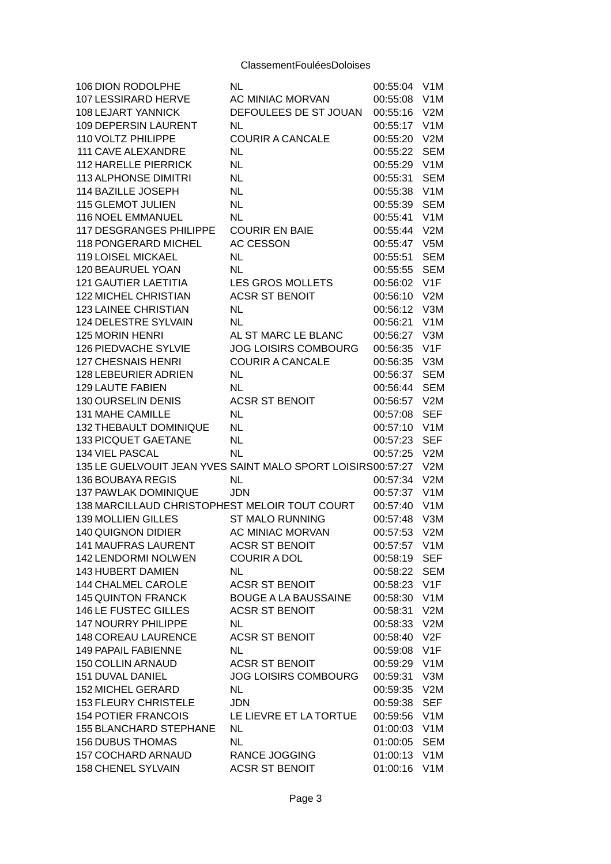| <b>106 DION RODOLPHE</b>                                    | NL                          | 00:55:04 | V1M             |
|-------------------------------------------------------------|-----------------------------|----------|-----------------|
| <b>107 LESSIRARD HERVE</b>                                  | AC MINIAC MORVAN            | 00:55:08 | V1M             |
| 108 LEJART YANNICK                                          | DEFOULEES DE ST JOUAN       | 00:55:16 | V2M             |
| 109 DEPERSIN LAURENT                                        | <b>NL</b>                   | 00:55:17 | V1M             |
| 110 VOLTZ PHILIPPE                                          | <b>COURIR A CANCALE</b>     | 00:55:20 | V2M             |
| 111 CAVE ALEXANDRE                                          | <b>NL</b>                   | 00:55:22 | <b>SEM</b>      |
| <b>112 HARELLE PIERRICK</b>                                 | <b>NL</b>                   | 00:55:29 | V1M             |
| <b>113 ALPHONSE DIMITRI</b>                                 | <b>NL</b>                   | 00:55:31 | <b>SEM</b>      |
| 114 BAZILLE JOSEPH                                          | <b>NL</b>                   | 00:55:38 | V1M             |
| <b>115 GLEMOT JULIEN</b>                                    | <b>NL</b>                   | 00:55:39 | <b>SEM</b>      |
| 116 NOEL EMMANUEL                                           | <b>NL</b>                   | 00:55:41 | V1M             |
| 117 DESGRANGES PHILIPPE                                     | <b>COURIR EN BAIE</b>       | 00:55:44 | V2M             |
| 118 PONGERARD MICHEL                                        | <b>AC CESSON</b>            | 00:55:47 | V5M             |
| 119 LOISEL MICKAEL                                          | <b>NL</b>                   | 00:55:51 | <b>SEM</b>      |
| 120 BEAURUEL YOAN                                           | <b>NL</b>                   | 00:55:55 | <b>SEM</b>      |
| <b>121 GAUTIER LAETITIA</b>                                 | <b>LES GROS MOLLETS</b>     | 00:56:02 | V1F             |
| 122 MICHEL CHRISTIAN                                        | <b>ACSR ST BENOIT</b>       | 00:56:10 | V2M             |
| 123 LAINEE CHRISTIAN                                        | NL                          | 00:56:12 | V3M             |
| 124 DELESTRE SYLVAIN                                        | <b>NL</b>                   | 00:56:21 | V1M             |
| <b>125 MORIN HENRI</b>                                      | AL ST MARC LE BLANC         | 00:56:27 | V3M             |
| 126 PIEDVACHE SYLVIE                                        | <b>JOG LOISIRS COMBOURG</b> | 00:56:35 | V1F             |
| <b>127 CHESNAIS HENRI</b>                                   | <b>COURIR A CANCALE</b>     | 00:56:35 | V3M             |
| 128 LEBEURIER ADRIEN                                        | <b>NL</b>                   | 00:56:37 | <b>SEM</b>      |
| 129 LAUTE FABIEN                                            | <b>NL</b>                   | 00:56:44 | <b>SEM</b>      |
| 130 OURSELIN DENIS                                          | <b>ACSR ST BENOIT</b>       | 00:56:57 | V2M             |
| 131 MAHE CAMILLE                                            | NL.                         | 00:57:08 | <b>SEF</b>      |
| 132 THEBAULT DOMINIQUE                                      | <b>NL</b>                   | 00:57:10 | V1M             |
| 133 PICQUET GAETANE                                         | <b>NL</b>                   | 00:57:23 | <b>SEF</b>      |
| 134 VIEL PASCAL                                             | <b>NL</b>                   | 00:57:25 | V2M             |
| 135 LE GUELVOUIT JEAN YVES SAINT MALO SPORT LOISIRS00:57:27 |                             |          | V2M             |
| 136 BOUBAYA REGIS                                           | <b>NL</b>                   | 00:57:34 | V2M             |
| 137 PAWLAK DOMINIQUE                                        | <b>JDN</b>                  | 00:57:37 | V1M             |
| 138 MARCILLAUD CHRISTOPHEST MELOIR TOUT COURT               |                             | 00:57:40 | V1M             |
| 139 MOLLIEN GILLES                                          | <b>ST MALO RUNNING</b>      | 00:57:48 | V3M             |
| 140 QUIGNON DIDIER                                          | AC MINIAC MORVAN            | 00:57:53 | V2M             |
| 141 MAUFRAS LAURENT                                         | <b>ACSR ST BENOIT</b>       | 00:57:57 | V1M             |
| 142 LENDORMI NOLWEN                                         | <b>COURIR A DOL</b>         | 00:58:19 | <b>SEF</b>      |
| 143 HUBERT DAMIEN                                           | NL.                         | 00:58:22 | <b>SEM</b>      |
| 144 CHALMEL CAROLE                                          | <b>ACSR ST BENOIT</b>       | 00:58:23 | V1F             |
| <b>145 QUINTON FRANCK</b>                                   | <b>BOUGE A LA BAUSSAINE</b> | 00:58:30 | V1M             |
| 146 LE FUSTEC GILLES                                        | <b>ACSR ST BENOIT</b>       | 00:58:31 | V2M             |
| <b>147 NOURRY PHILIPPE</b>                                  | NL.                         | 00:58:33 | V2M             |
| <b>148 COREAU LAURENCE</b>                                  | <b>ACSR ST BENOIT</b>       | 00:58:40 | V <sub>2F</sub> |
| 149 PAPAIL FABIENNE                                         | <b>NL</b>                   | 00:59:08 | V1F             |
| 150 COLLIN ARNAUD                                           | ACSR ST BENOIT              | 00:59:29 | V1M             |
| 151 DUVAL DANIEL                                            | <b>JOG LOISIRS COMBOURG</b> | 00:59:31 | V3M             |
| 152 MICHEL GERARD                                           | NL.                         | 00:59:35 | V2M             |
| <b>153 FLEURY CHRISTELE</b>                                 | <b>JDN</b>                  | 00:59:38 | <b>SEF</b>      |
| <b>154 POTIER FRANCOIS</b>                                  | LE LIEVRE ET LA TORTUE      | 00:59:56 | V1M             |
| <b>155 BLANCHARD STEPHANE</b>                               | <b>NL</b>                   | 01:00:03 | V1M             |
| <b>156 DUBUS THOMAS</b>                                     | NL                          | 01:00:05 | <b>SEM</b>      |
| 157 COCHARD ARNAUD                                          | RANCE JOGGING               | 01:00:13 | V1M             |
| 158 CHENEL SYLVAIN                                          | <b>ACSR ST BENOIT</b>       | 01:00:16 | V1M             |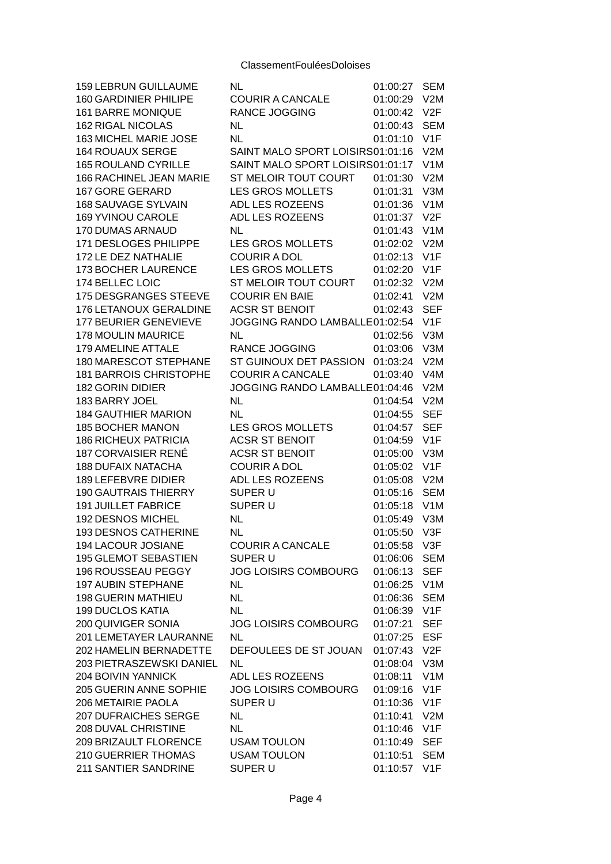| <b>159 LEBRUN GUILLAUME</b>                          | NL                               | 01:00:27             | <b>SEM</b>               |
|------------------------------------------------------|----------------------------------|----------------------|--------------------------|
| <b>160 GARDINIER PHILIPE</b>                         | <b>COURIR A CANCALE</b>          | 01:00:29             | V2M                      |
| 161 BARRE MONIQUE                                    | <b>RANCE JOGGING</b>             | 01:00:42             | V2F                      |
| <b>162 RIGAL NICOLAS</b>                             | <b>NL</b>                        | 01:00:43             | <b>SEM</b>               |
| 163 MICHEL MARIE JOSE                                | <b>NL</b>                        | 01:01:10             | V1F                      |
| <b>164 ROUAUX SERGE</b>                              | SAINT MALO SPORT LOISIRS01:01:16 |                      | V2M                      |
| <b>165 ROULAND CYRILLE</b>                           | SAINT MALO SPORT LOISIRS01:01:17 |                      | V1M                      |
| 166 RACHINEL JEAN MARIE                              | ST MELOIR TOUT COURT             | 01:01:30             | V2M                      |
| <b>167 GORE GERARD</b>                               | <b>LES GROS MOLLETS</b>          | 01:01:31             | V3M                      |
| 168 SAUVAGE SYLVAIN                                  | ADL LES ROZEENS                  | 01:01:36             | V1M                      |
| <b>169 YVINOU CAROLE</b>                             | ADL LES ROZEENS                  | 01:01:37             | V2F                      |
| 170 DUMAS ARNAUD                                     | NL                               | 01:01:43             | V1M                      |
| 171 DESLOGES PHILIPPE                                | <b>LES GROS MOLLETS</b>          | 01:02:02             | V2M                      |
| 172 LE DEZ NATHALIE                                  | <b>COURIR A DOL</b>              | 01:02:13             | V1F                      |
| 173 BOCHER LAURENCE                                  | <b>LES GROS MOLLETS</b>          | 01:02:20             | V1F                      |
| 174 BELLEC LOIC                                      | ST MELOIR TOUT COURT             | 01:02:32             | V2M                      |
| 175 DESGRANGES STEEVE                                | <b>COURIR EN BAIE</b>            | 01:02:41             | V2M                      |
| 176 LETANOUX GERALDINE                               | <b>ACSR ST BENOIT</b>            | 01:02:43             | <b>SEF</b>               |
| 177 BEURIER GENEVIEVE                                | JOGGING RANDO LAMBALLE01:02:54   |                      | V1F                      |
| <b>178 MOULIN MAURICE</b>                            | <b>NL</b>                        | 01:02:56             | V3M                      |
| 179 AMELINE ATTALE                                   | <b>RANCE JOGGING</b>             | 01:03:06             | V3M                      |
| 180 MARESCOT STEPHANE                                | ST GUINOUX DET PASSION           | 01:03:24             | V2M                      |
| <b>181 BARROIS CHRISTOPHE</b>                        | <b>COURIR A CANCALE</b>          | 01:03:40             | V <sub>4</sub> M         |
| <b>182 GORIN DIDIER</b>                              | JOGGING RANDO LAMBALLE01:04:46   |                      | V2M                      |
| 183 BARRY JOEL                                       | <b>NL</b>                        | 01:04:54             | V2M                      |
| <b>184 GAUTHIER MARION</b>                           | NL.                              | 01:04:55             | <b>SEF</b>               |
| <b>185 BOCHER MANON</b>                              | <b>LES GROS MOLLETS</b>          | 01:04:57             | <b>SEF</b>               |
| <b>186 RICHEUX PATRICIA</b>                          | <b>ACSR ST BENOIT</b>            | 01:04:59             | V1F                      |
| <b>187 CORVAISIER RENÉ</b>                           | <b>ACSR ST BENOIT</b>            | 01:05:00             | V3M                      |
| <b>188 DUFAIX NATACHA</b>                            | <b>COURIR A DOL</b>              | 01:05:02             | V1F                      |
| <b>189 LEFEBVRE DIDIER</b>                           | ADL LES ROZEENS                  | 01:05:08             | V2M                      |
| <b>190 GAUTRAIS THIERRY</b>                          | SUPER U                          | 01:05:16             | <b>SEM</b>               |
| <b>191 JUILLET FABRICE</b>                           | SUPER U                          | 01:05:18             | V1M                      |
| 192 DESNOS MICHEL                                    | NL.                              | 01:05:49             | V3M                      |
| <b>193 DESNOS CATHERINE</b>                          | NL                               | 01:05:50             | V3F                      |
| 194 LACOUR JOSIANE                                   | <b>COURIR A CANCALE</b>          | 01:05:58             | V3F                      |
| <b>195 GLEMOT SEBASTIEN</b>                          | SUPER U                          | 01:06:06             |                          |
| 196 ROUSSEAU PEGGY                                   | <b>JOG LOISIRS COMBOURG</b>      | 01:06:13             | <b>SEM</b><br><b>SEF</b> |
| <b>197 AUBIN STEPHANE</b>                            | <b>NL</b>                        |                      |                          |
|                                                      |                                  | 01:06:25<br>01:06:36 | V1M                      |
| <b>198 GUERIN MATHIEU</b><br><b>199 DUCLOS KATIA</b> | <b>NL</b>                        |                      | <b>SEM</b>               |
|                                                      | NL.                              | 01:06:39             | V1F                      |
| 200 QUIVIGER SONIA                                   | <b>JOG LOISIRS COMBOURG</b>      | 01:07:21             | <b>SEF</b>               |
| 201 LEMETAYER LAURANNE                               | NL.                              | 01:07:25             | <b>ESF</b>               |
| 202 HAMELIN BERNADETTE                               | DEFOULEES DE ST JOUAN            | 01:07:43             | V <sub>2F</sub>          |
| 203 PIETRASZEWSKI DANIEL                             | <b>NL</b>                        | 01:08:04             | V3M                      |
| 204 BOIVIN YANNICK                                   | ADL LES ROZEENS                  | 01:08:11             | V1M                      |
| 205 GUERIN ANNE SOPHIE                               | <b>JOG LOISIRS COMBOURG</b>      | 01:09:16             | V1F                      |
| 206 METAIRIE PAOLA                                   | SUPER U                          | 01:10:36             | V1F                      |
| <b>207 DUFRAICHES SERGE</b>                          | NL.                              | 01:10:41             | V2M                      |
| 208 DUVAL CHRISTINE                                  | NL.                              | 01:10:46             | V1F                      |
| 209 BRIZAULT FLORENCE                                | <b>USAM TOULON</b>               | 01:10:49             | <b>SEF</b>               |
| 210 GUERRIER THOMAS                                  | <b>USAM TOULON</b>               | 01:10:51             | <b>SEM</b>               |
| 211 SANTIER SANDRINE                                 | SUPER U                          | 01:10:57             | V1F                      |